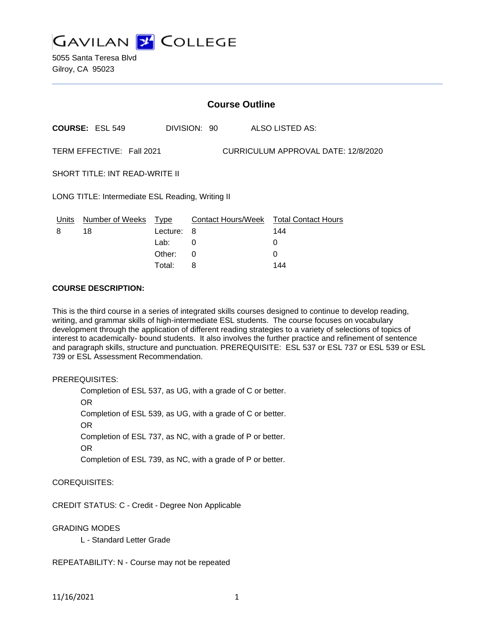

5055 Santa Teresa Blvd Gilroy, CA 95023

|                                                                  | <b>Course Outline</b>  |          |              |  |                                        |
|------------------------------------------------------------------|------------------------|----------|--------------|--|----------------------------------------|
|                                                                  | <b>COURSE: ESL 549</b> |          | DIVISION: 90 |  | ALSO LISTED AS:                        |
| TERM EFFECTIVE: Fall 2021<br>CURRICULUM APPROVAL DATE: 12/8/2020 |                        |          |              |  |                                        |
| <b>SHORT TITLE: INT READ-WRITE II</b>                            |                        |          |              |  |                                        |
| LONG TITLE: Intermediate ESL Reading, Writing II                 |                        |          |              |  |                                        |
| Units                                                            | Number of Weeks Type   |          |              |  | Contact Hours/Week Total Contact Hours |
| 8                                                                | 18                     | Lecture: | 8            |  | 144                                    |
|                                                                  |                        | Lab:     | 0            |  | 0                                      |
|                                                                  |                        | Other:   | 0            |  | 0                                      |

Total: 8 144

### **COURSE DESCRIPTION:**

This is the third course in a series of integrated skills courses designed to continue to develop reading, writing, and grammar skills of high-intermediate ESL students. The course focuses on vocabulary development through the application of different reading strategies to a variety of selections of topics of interest to academically- bound students. It also involves the further practice and refinement of sentence and paragraph skills, structure and punctuation. PREREQUISITE: ESL 537 or ESL 737 or ESL 539 or ESL 739 or ESL Assessment Recommendation.

PREREQUISITES:

Completion of ESL 537, as UG, with a grade of C or better. OR Completion of ESL 539, as UG, with a grade of C or better. OR Completion of ESL 737, as NC, with a grade of P or better. OR Completion of ESL 739, as NC, with a grade of P or better.

COREQUISITES:

CREDIT STATUS: C - Credit - Degree Non Applicable

GRADING MODES

L - Standard Letter Grade

REPEATABILITY: N - Course may not be repeated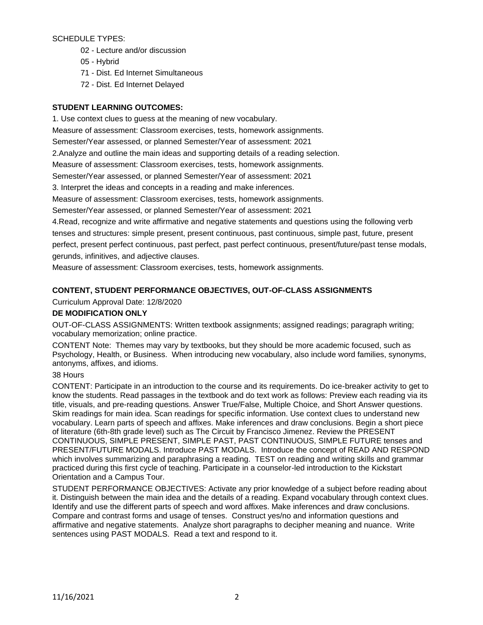## SCHEDULE TYPES:

- 02 Lecture and/or discussion
- 05 Hybrid
- 71 Dist. Ed Internet Simultaneous
- 72 Dist. Ed Internet Delayed

# **STUDENT LEARNING OUTCOMES:**

1. Use context clues to guess at the meaning of new vocabulary.

Measure of assessment: Classroom exercises, tests, homework assignments.

Semester/Year assessed, or planned Semester/Year of assessment: 2021

2.Analyze and outline the main ideas and supporting details of a reading selection.

Measure of assessment: Classroom exercises, tests, homework assignments.

Semester/Year assessed, or planned Semester/Year of assessment: 2021

3. Interpret the ideas and concepts in a reading and make inferences.

Measure of assessment: Classroom exercises, tests, homework assignments.

Semester/Year assessed, or planned Semester/Year of assessment: 2021

4.Read, recognize and write affirmative and negative statements and questions using the following verb tenses and structures: simple present, present continuous, past continuous, simple past, future, present perfect, present perfect continuous, past perfect, past perfect continuous, present/future/past tense modals, gerunds, infinitives, and adjective clauses.

Measure of assessment: Classroom exercises, tests, homework assignments.

# **CONTENT, STUDENT PERFORMANCE OBJECTIVES, OUT-OF-CLASS ASSIGNMENTS**

Curriculum Approval Date: 12/8/2020

# **DE MODIFICATION ONLY**

OUT-OF-CLASS ASSIGNMENTS: Written textbook assignments; assigned readings; paragraph writing; vocabulary memorization; online practice.

CONTENT Note: Themes may vary by textbooks, but they should be more academic focused, such as Psychology, Health, or Business. When introducing new vocabulary, also include word families, synonyms, antonyms, affixes, and idioms.

# 38 Hours

CONTENT: Participate in an introduction to the course and its requirements. Do ice-breaker activity to get to know the students. Read passages in the textbook and do text work as follows: Preview each reading via its title, visuals, and pre-reading questions. Answer True/False, Multiple Choice, and Short Answer questions. Skim readings for main idea. Scan readings for specific information. Use context clues to understand new vocabulary. Learn parts of speech and affixes. Make inferences and draw conclusions. Begin a short piece of literature (6th-8th grade level) such as The Circuit by Francisco Jimenez. Review the PRESENT CONTINUOUS, SIMPLE PRESENT, SIMPLE PAST, PAST CONTINUOUS, SIMPLE FUTURE tenses and PRESENT/FUTURE MODALS. Introduce PAST MODALS. Introduce the concept of READ AND RESPOND which involves summarizing and paraphrasing a reading. TEST on reading and writing skills and grammar practiced during this first cycle of teaching. Participate in a counselor-led introduction to the Kickstart Orientation and a Campus Tour.

STUDENT PERFORMANCE OBJECTIVES: Activate any prior knowledge of a subject before reading about it. Distinguish between the main idea and the details of a reading. Expand vocabulary through context clues. Identify and use the different parts of speech and word affixes. Make inferences and draw conclusions. Compare and contrast forms and usage of tenses. Construct yes/no and information questions and affirmative and negative statements. Analyze short paragraphs to decipher meaning and nuance. Write sentences using PAST MODALS. Read a text and respond to it.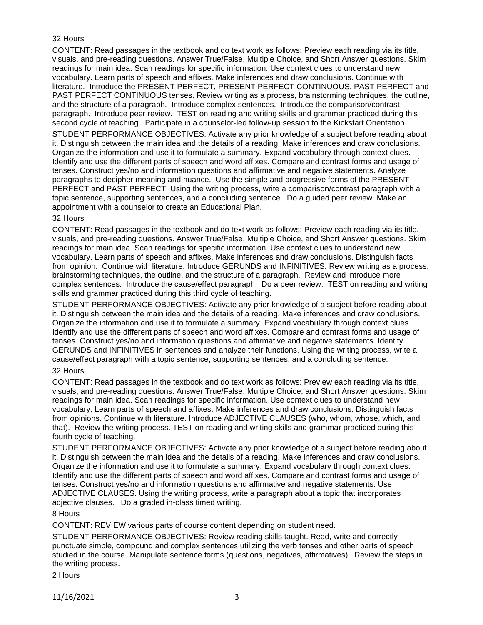## 32 Hours

CONTENT: Read passages in the textbook and do text work as follows: Preview each reading via its title, visuals, and pre-reading questions. Answer True/False, Multiple Choice, and Short Answer questions. Skim readings for main idea. Scan readings for specific information. Use context clues to understand new vocabulary. Learn parts of speech and affixes. Make inferences and draw conclusions. Continue with literature. Introduce the PRESENT PERFECT, PRESENT PERFECT CONTINUOUS, PAST PERFECT and PAST PERFECT CONTINUOUS tenses. Review writing as a process, brainstorming techniques, the outline, and the structure of a paragraph. Introduce complex sentences. Introduce the comparison/contrast paragraph. Introduce peer review. TEST on reading and writing skills and grammar practiced during this second cycle of teaching. Participate in a counselor-led follow-up session to the Kickstart Orientation.

STUDENT PERFORMANCE OBJECTIVES: Activate any prior knowledge of a subject before reading about it. Distinguish between the main idea and the details of a reading. Make inferences and draw conclusions. Organize the information and use it to formulate a summary. Expand vocabulary through context clues. Identify and use the different parts of speech and word affixes. Compare and contrast forms and usage of tenses. Construct yes/no and information questions and affirmative and negative statements. Analyze paragraphs to decipher meaning and nuance. Use the simple and progressive forms of the PRESENT PERFECT and PAST PERFECT. Using the writing process, write a comparison/contrast paragraph with a topic sentence, supporting sentences, and a concluding sentence. Do a guided peer review. Make an appointment with a counselor to create an Educational Plan.

### 32 Hours

CONTENT: Read passages in the textbook and do text work as follows: Preview each reading via its title, visuals, and pre-reading questions. Answer True/False, Multiple Choice, and Short Answer questions. Skim readings for main idea. Scan readings for specific information. Use context clues to understand new vocabulary. Learn parts of speech and affixes. Make inferences and draw conclusions. Distinguish facts from opinion. Continue with literature. Introduce GERUNDS and INFINITIVES. Review writing as a process, brainstorming techniques, the outline, and the structure of a paragraph. Review and introduce more complex sentences. Introduce the cause/effect paragraph. Do a peer review. TEST on reading and writing skills and grammar practiced during this third cycle of teaching.

STUDENT PERFORMANCE OBJECTIVES: Activate any prior knowledge of a subject before reading about it. Distinguish between the main idea and the details of a reading. Make inferences and draw conclusions. Organize the information and use it to formulate a summary. Expand vocabulary through context clues. Identify and use the different parts of speech and word affixes. Compare and contrast forms and usage of tenses. Construct yes/no and information questions and affirmative and negative statements. Identify GERUNDS and INFINITIVES in sentences and analyze their functions. Using the writing process, write a cause/effect paragraph with a topic sentence, supporting sentences, and a concluding sentence.

#### 32 Hours

CONTENT: Read passages in the textbook and do text work as follows: Preview each reading via its title, visuals, and pre-reading questions. Answer True/False, Multiple Choice, and Short Answer questions. Skim readings for main idea. Scan readings for specific information. Use context clues to understand new vocabulary. Learn parts of speech and affixes. Make inferences and draw conclusions. Distinguish facts from opinions. Continue with literature. Introduce ADJECTIVE CLAUSES (who, whom, whose, which, and that). Review the writing process. TEST on reading and writing skills and grammar practiced during this fourth cycle of teaching.

STUDENT PERFORMANCE OBJECTIVES: Activate any prior knowledge of a subject before reading about it. Distinguish between the main idea and the details of a reading. Make inferences and draw conclusions. Organize the information and use it to formulate a summary. Expand vocabulary through context clues. Identify and use the different parts of speech and word affixes. Compare and contrast forms and usage of tenses. Construct yes/no and information questions and affirmative and negative statements. Use ADJECTIVE CLAUSES. Using the writing process, write a paragraph about a topic that incorporates adjective clauses. Do a graded in-class timed writing.

#### 8 Hours

CONTENT: REVIEW various parts of course content depending on student need.

STUDENT PERFORMANCE OBJECTIVES: Review reading skills taught. Read, write and correctly punctuate simple, compound and complex sentences utilizing the verb tenses and other parts of speech studied in the course. Manipulate sentence forms (questions, negatives, affirmatives). Review the steps in the writing process.

2 Hours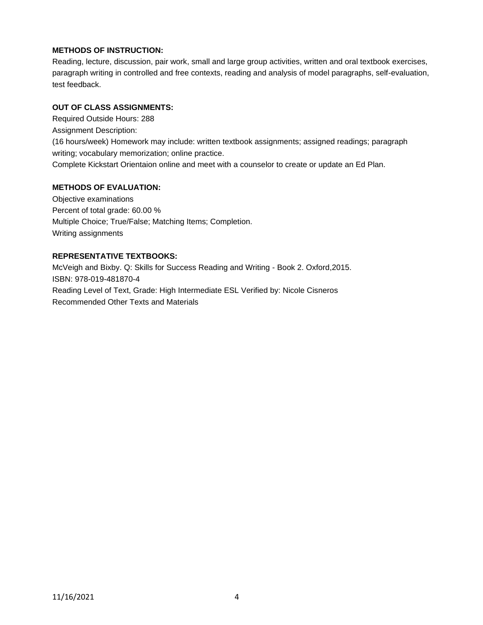## **METHODS OF INSTRUCTION:**

Reading, lecture, discussion, pair work, small and large group activities, written and oral textbook exercises, paragraph writing in controlled and free contexts, reading and analysis of model paragraphs, self-evaluation, test feedback.

# **OUT OF CLASS ASSIGNMENTS:**

Required Outside Hours: 288 Assignment Description: (16 hours/week) Homework may include: written textbook assignments; assigned readings; paragraph writing; vocabulary memorization; online practice. Complete Kickstart Orientaion online and meet with a counselor to create or update an Ed Plan.

### **METHODS OF EVALUATION:**

Objective examinations Percent of total grade: 60.00 % Multiple Choice; True/False; Matching Items; Completion. Writing assignments

## **REPRESENTATIVE TEXTBOOKS:**

McVeigh and Bixby. Q: Skills for Success Reading and Writing - Book 2. Oxford,2015. ISBN: 978-019-481870-4 Reading Level of Text, Grade: High Intermediate ESL Verified by: Nicole Cisneros Recommended Other Texts and Materials